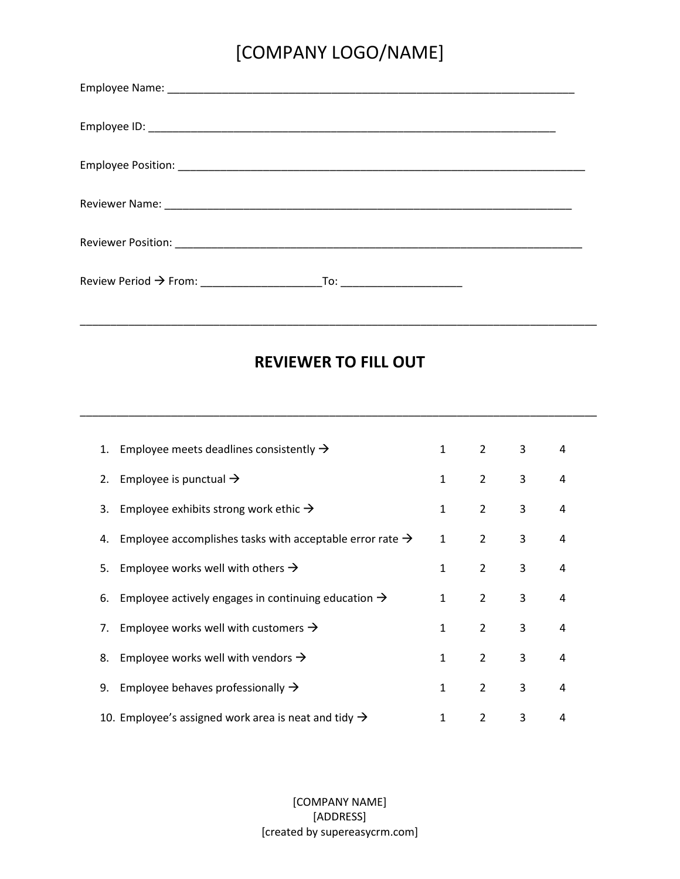# [COMPANY LOGO/NAME]

| To: __________________________ |
|--------------------------------|

#### **REVIEWER TO FILL OUT**

\_\_\_\_\_\_\_\_\_\_\_\_\_\_\_\_\_\_\_\_\_\_\_\_\_\_\_\_\_\_\_\_\_\_\_\_\_\_\_\_\_\_\_\_\_\_\_\_\_\_\_\_\_\_\_\_\_\_\_\_\_\_\_\_\_\_\_\_\_\_\_\_\_\_\_\_\_\_\_\_\_\_\_\_\_

\_\_\_\_\_\_\_\_\_\_\_\_\_\_\_\_\_\_\_\_\_\_\_\_\_\_\_\_\_\_\_\_\_\_\_\_\_\_\_\_\_\_\_\_\_\_\_\_\_\_\_\_\_\_\_\_\_\_\_\_\_\_\_\_\_\_\_\_\_\_\_\_\_\_\_\_\_\_\_\_\_\_\_\_\_

| 1. Employee meets deadlines consistently $\rightarrow$                  | $\mathbf{1}$ | $\overline{2}$ | 3 | 4 |  |
|-------------------------------------------------------------------------|--------------|----------------|---|---|--|
| 2. Employee is punctual $\rightarrow$                                   | $\mathbf{1}$ | $\overline{2}$ | 3 | 4 |  |
| 3. Employee exhibits strong work ethic $\rightarrow$                    | 1            | $\overline{2}$ | 3 | 4 |  |
| 4. Employee accomplishes tasks with acceptable error rate $\rightarrow$ | $\mathbf{1}$ | $\overline{2}$ | 3 | 4 |  |
| Employee works well with others $\rightarrow$<br>5.                     | 1            | $\overline{2}$ | 3 | 4 |  |
| Employee actively engages in continuing education $\rightarrow$<br>6.   | 1            | 2              | 3 | 4 |  |
| 7. Employee works well with customers $\rightarrow$                     | 1            | 2              | 3 | 4 |  |
| 8. Employee works well with vendors $\rightarrow$                       | 1            | 2              | 3 | 4 |  |
| Employee behaves professionally $\rightarrow$<br>9.                     | 1            | $\overline{2}$ | 3 | 4 |  |
| 10. Employee's assigned work area is neat and tidy $\rightarrow$        | 1            | $\overline{2}$ | 3 | 4 |  |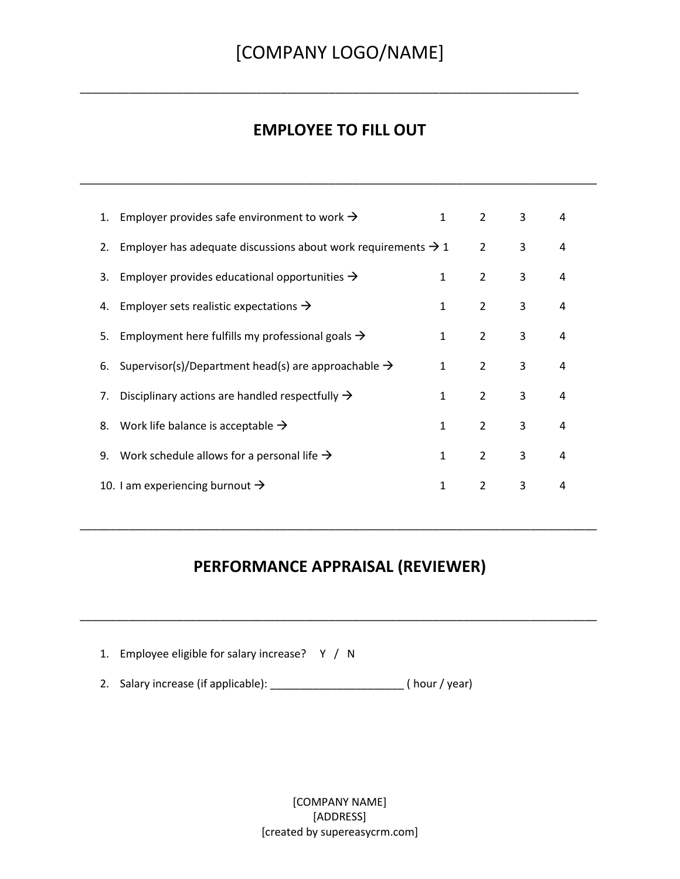\_\_\_\_\_\_\_\_\_\_\_\_\_\_\_\_\_\_\_\_\_\_\_\_\_\_\_\_\_\_\_\_\_\_\_\_\_\_\_\_\_\_\_\_\_\_\_\_\_\_\_\_\_\_\_\_\_\_\_\_\_\_\_\_\_\_\_\_\_\_\_\_\_\_\_\_\_\_\_\_\_\_

#### **EMPLOYEE TO FILL OUT**

\_\_\_\_\_\_\_\_\_\_\_\_\_\_\_\_\_\_\_\_\_\_\_\_\_\_\_\_\_\_\_\_\_\_\_\_\_\_\_\_\_\_\_\_\_\_\_\_\_\_\_\_\_\_\_\_\_\_\_\_\_\_\_\_\_\_\_\_\_\_\_\_\_\_\_\_\_\_\_\_\_\_\_\_\_

| 1. | Employer provides safe environment to work $\rightarrow$                  | 1            | 2              | 3 | 4 |
|----|---------------------------------------------------------------------------|--------------|----------------|---|---|
| 2. | Employer has adequate discussions about work requirements $\rightarrow$ 1 |              | $\overline{2}$ | 3 | 4 |
| 3. | Employer provides educational opportunities $\rightarrow$                 | 1            | 2              | 3 | 4 |
| 4. | Employer sets realistic expectations $\rightarrow$                        | 1            | $\overline{2}$ | 3 | 4 |
| 5. | Employment here fulfills my professional goals $\rightarrow$              | 1            | 2              | 3 | 4 |
| 6. | Supervisor(s)/Department head(s) are approachable $\rightarrow$           | 1            | 2              | 3 | 4 |
| 7. | Disciplinary actions are handled respectfully $\rightarrow$               | $\mathbf{1}$ | $\mathcal{P}$  | 3 | 4 |
| 8. | Work life balance is acceptable $\rightarrow$                             | 1            | 2              | 3 | 4 |
| 9. | Work schedule allows for a personal life $\rightarrow$                    | 1            | $\overline{2}$ | 3 | 4 |
|    | 10. I am experiencing burnout $\rightarrow$                               | 1            | $\overline{2}$ | 3 | 4 |

#### **PERFORMANCE APPRAISAL (REVIEWER)**

\_\_\_\_\_\_\_\_\_\_\_\_\_\_\_\_\_\_\_\_\_\_\_\_\_\_\_\_\_\_\_\_\_\_\_\_\_\_\_\_\_\_\_\_\_\_\_\_\_\_\_\_\_\_\_\_\_\_\_\_\_\_\_\_\_\_\_\_\_\_\_\_\_\_\_\_\_\_\_\_\_\_\_\_\_

\_\_\_\_\_\_\_\_\_\_\_\_\_\_\_\_\_\_\_\_\_\_\_\_\_\_\_\_\_\_\_\_\_\_\_\_\_\_\_\_\_\_\_\_\_\_\_\_\_\_\_\_\_\_\_\_\_\_\_\_\_\_\_\_\_\_\_\_\_\_\_\_\_\_\_\_\_\_\_\_\_\_\_\_\_

| 1. Employee eligible for salary increase? Y / N |             |
|-------------------------------------------------|-------------|
| 2. Salary increase (if applicable):             | (hour/year) |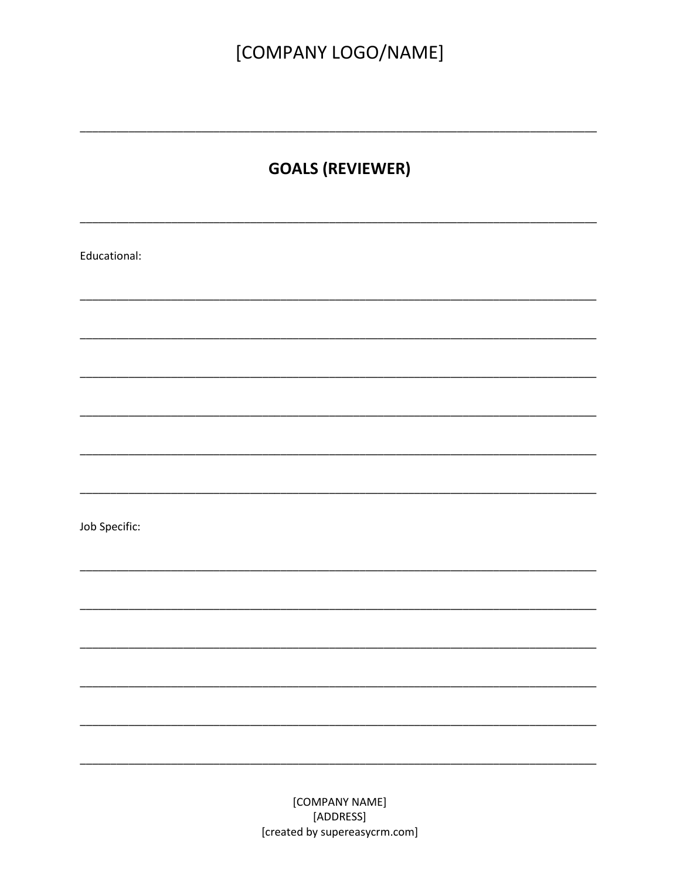## [COMPANY LOGO/NAME]

### **GOALS (REVIEWER)**

Educational: Job Specific: [COMPANY NAME]

[ADDRESS] [created by supereasycrm.com]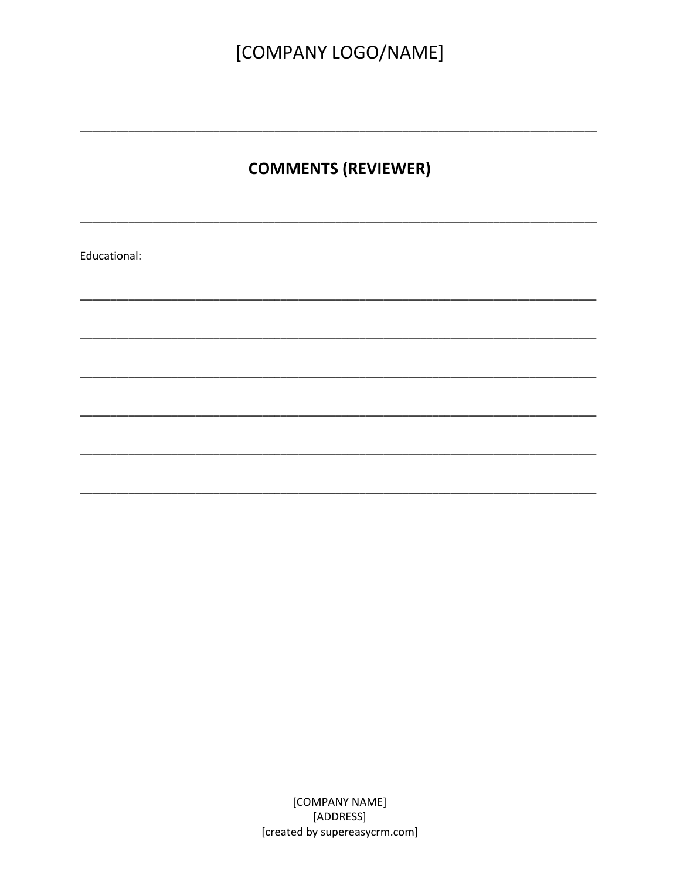### **COMMENTS (REVIEWER)**

Educational: